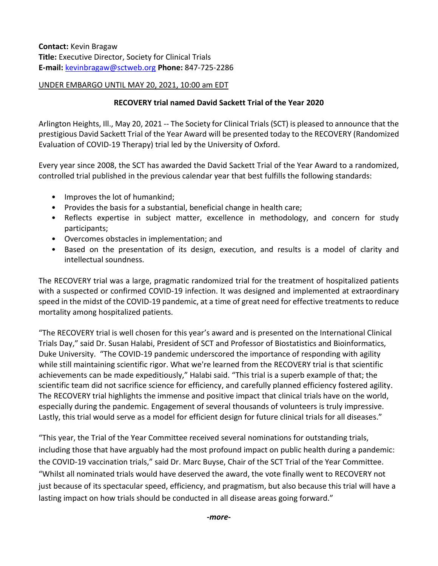**Contact:** Kevin Bragaw **Title:** Executive Director, Society for Clinical Trials **E-mail:** [kevinbragaw@sctweb.org](mailto:kevinbragaw@sctweb.org) **Phone:** 847-725-2286

## UNDER EMBARGO UNTIL MAY 20, 2021, 10:00 am EDT

## **RECOVERY trial named David Sackett Trial of the Year 2020**

Arlington Heights, Ill., May 20, 2021 -- The Society for Clinical Trials (SCT) is pleased to announce that the prestigious David Sackett Trial of the Year Award will be presented today to the RECOVERY (Randomized Evaluation of COVID-19 Therapy) trial led by the University of Oxford.

Every year since 2008, the SCT has awarded the David Sackett Trial of the Year Award to a randomized, controlled trial published in the previous calendar year that best fulfills the following standards:

- Improves the lot of humankind;
- Provides the basis for a substantial, beneficial change in health care;
- Reflects expertise in subject matter, excellence in methodology, and concern for study participants;
- Overcomes obstacles in implementation; and
- Based on the presentation of its design, execution, and results is a model of clarity and intellectual soundness.

The RECOVERY trial was a large, pragmatic randomized trial for the treatment of hospitalized patients with a suspected or confirmed COVID-19 infection. It was designed and implemented at extraordinary speed in the midst of the COVID-19 pandemic, at a time of great need for effective treatments to reduce mortality among hospitalized patients.

"The RECOVERY trial is well chosen for this year's award and is presented on the International Clinical Trials Day," said Dr. Susan Halabi, President of SCT and Professor of Biostatistics and Bioinformatics, Duke University. "The COVID-19 pandemic underscored the importance of responding with agility while still maintaining scientific rigor. What we're learned from the RECOVERY trial is that scientific achievements can be made expeditiously," Halabi said. "This trial is a superb example of that; the scientific team did not sacrifice science for efficiency, and carefully planned efficiency fostered agility. The RECOVERY trial highlights the immense and positive impact that clinical trials have on the world, especially during the pandemic. Engagement of several thousands of volunteers is truly impressive. Lastly, this trial would serve as a model for efficient design for future clinical trials for all diseases."

"This year, the Trial of the Year Committee received several nominations for outstanding trials, including those that have arguably had the most profound impact on public health during a pandemic: the COVID-19 vaccination trials," said Dr. Marc Buyse, Chair of the SCT Trial of the Year Committee. "Whilst all nominated trials would have deserved the award, the vote finally went to RECOVERY not just because of its spectacular speed, efficiency, and pragmatism, but also because this trial will have a lasting impact on how trials should be conducted in all disease areas going forward."